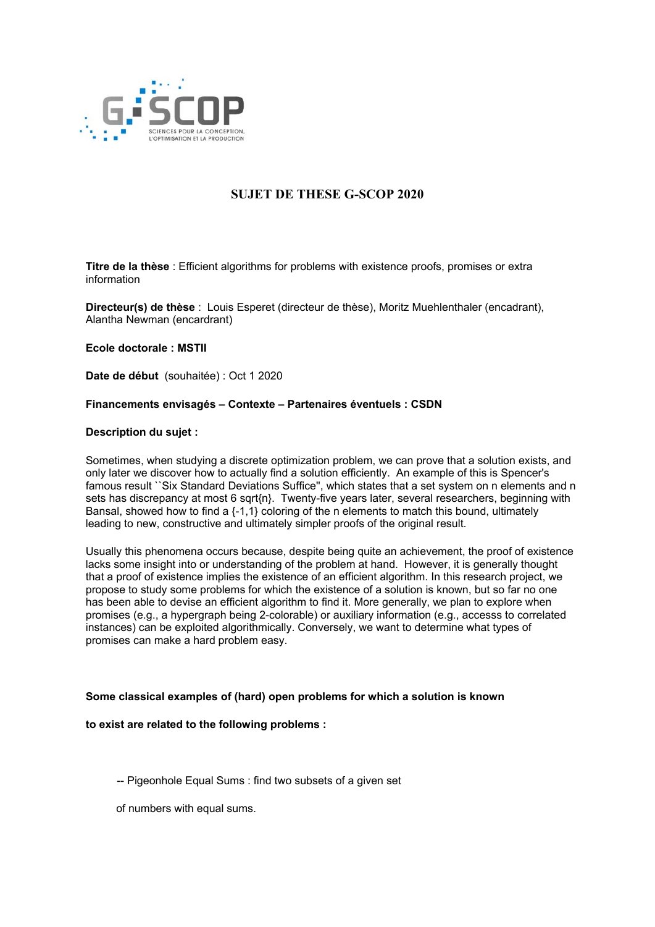

# **SUJET DE THESE G-SCOP 2020**

**Titre de la thèse** : Efficient algorithms for problems with existence proofs, promises or extra information

**Directeur(s) de thèse** : Louis Esperet (directeur de thèse), Moritz Muehlenthaler (encadrant), Alantha Newman (encardrant)

**Ecole doctorale : MSTII**

**Date de début** (souhaitée) : Oct 1 2020

# **Financements envisagés – Contexte – Partenaires éventuels : CSDN**

#### **Description du sujet :**

Sometimes, when studying a discrete optimization problem, we can prove that a solution exists, and only later we discover how to actually find a solution efficiently. An example of this is Spencer's famous result ``Six Standard Deviations Suffice'', which states that a set system on n elements and n sets has discrepancy at most 6 sqrt{n}. Twenty-five years later, several researchers, beginning with Bansal, showed how to find a {-1,1} coloring of the n elements to match this bound, ultimately leading to new, constructive and ultimately simpler proofs of the original result.

Usually this phenomena occurs because, despite being quite an achievement, the proof of existence lacks some insight into or understanding of the problem at hand. However, it is generally thought that a proof of existence implies the existence of an efficient algorithm. In this research project, we propose to study some problems for which the existence of a solution is known, but so far no one has been able to devise an efficient algorithm to find it. More generally, we plan to explore when promises (e.g., a hypergraph being 2-colorable) or auxiliary information (e.g., accesss to correlated instances) can be exploited algorithmically. Conversely, we want to determine what types of promises can make a hard problem easy.

# **Some classical examples of (hard) open problems for which a solution is known**

# **to exist are related to the following problems :**

-- Pigeonhole Equal Sums : find two subsets of a given set

of numbers with equal sums.